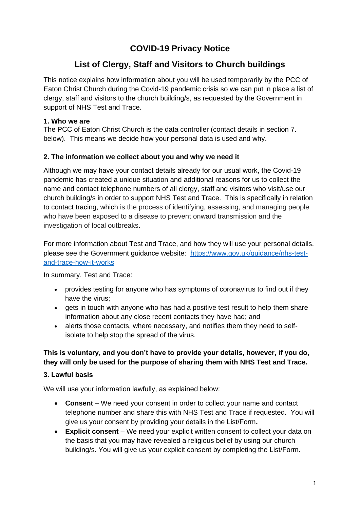# **COVID-19 Privacy Notice**

## **List of Clergy, Staff and Visitors to Church buildings**

This notice explains how information about you will be used temporarily by the PCC of Eaton Christ Church during the Covid-19 pandemic crisis so we can put in place a list of clergy, staff and visitors to the church building/s, as requested by the Government in support of NHS Test and Trace.

## **1. Who we are**

The PCC of Eaton Christ Church is the data controller (contact details in section 7. below). This means we decide how your personal data is used and why.

#### **2. The information we collect about you and why we need it**

Although we may have your contact details already for our usual work, the Covid-19 pandemic has created a unique situation and additional reasons for us to collect the name and contact telephone numbers of all clergy, staff and visitors who visit/use our church building/s in order to support NHS Test and Trace. This is specifically in relation to contact tracing, which is the process of identifying, assessing, and managing people who have been exposed to a disease to prevent onward transmission and the investigation of local outbreaks.

For more information about Test and Trace, and how they will use your personal details, please see the Government guidance website: [https://www.gov.uk/guidance/nhs-test](https://www.gov.uk/guidance/nhs-test-and-trace-how-it-works)[and-trace-how-it-works](https://www.gov.uk/guidance/nhs-test-and-trace-how-it-works)

In summary, Test and Trace:

- provides testing for anyone who has symptoms of coronavirus to find out if they have the virus;
- gets in touch with anyone who has had a positive test result to help them share information about any close recent contacts they have had; and
- alerts those contacts, where necessary, and notifies them they need to selfisolate to help stop the spread of the virus.

## **This is voluntary, and you don't have to provide your details, however, if you do, they will only be used for the purpose of sharing them with NHS Test and Trace.**

## **3. Lawful basis**

We will use your information lawfully, as explained below:

- **Consent**  We need your consent in order to collect your name and contact telephone number and share this with NHS Test and Trace if requested. You will give us your consent by providing your details in the List/Form**.**
- **Explicit consent** We need your explicit written consent to collect your data on the basis that you may have revealed a religious belief by using our church building/s. You will give us your explicit consent by completing the List/Form.